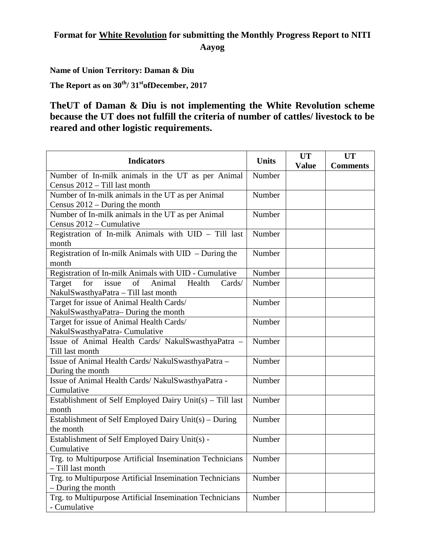## **Format for White Revolution for submitting the Monthly Progress Report to NITI Aayog**

**Name of Union Territory: Daman & Diu**

The Report as on  $30^{\text{th}}/31^{\text{st}}$  of December, 2017

**TheUT of Daman & Diu is not implementing the White Revolution scheme because the UT does not fulfill the criteria of number of cattles/ livestock to be reared and other logistic requirements.**

| <b>Indicators</b>                                          | <b>Units</b> | <b>UT</b>    | <b>UT</b>       |
|------------------------------------------------------------|--------------|--------------|-----------------|
|                                                            |              | <b>Value</b> | <b>Comments</b> |
| Number of In-milk animals in the UT as per Animal          | Number       |              |                 |
| Census 2012 - Till last month                              | Number       |              |                 |
| Number of In-milk animals in the UT as per Animal          |              |              |                 |
| Census $2012$ – During the month                           |              |              |                 |
| Number of In-milk animals in the UT as per Animal          | Number       |              |                 |
| Census 2012 – Cumulative                                   | Number       |              |                 |
| Registration of In-milk Animals with UID - Till last       |              |              |                 |
| month                                                      | Number       |              |                 |
| Registration of In-milk Animals with UID - During the      |              |              |                 |
| month                                                      |              |              |                 |
| Registration of In-milk Animals with UID - Cumulative      | Number       |              |                 |
| for<br>of<br>Animal<br>Health<br>Target<br>issue<br>Cards/ | Number       |              |                 |
| NakulSwasthyaPatra - Till last month                       |              |              |                 |
| Target for issue of Animal Health Cards/                   | Number       |              |                 |
| NakulSwasthyaPatra-During the month                        |              |              |                 |
| Target for issue of Animal Health Cards/                   | Number       |              |                 |
| NakulSwasthyaPatra-Cumulative                              |              |              |                 |
| Issue of Animal Health Cards/ NakulSwasthyaPatra -         | Number       |              |                 |
| Till last month                                            |              |              |                 |
| Issue of Animal Health Cards/ NakulSwasthyaPatra -         | Number       |              |                 |
| During the month                                           |              |              |                 |
| Issue of Animal Health Cards/ NakulSwasthyaPatra -         | Number       |              |                 |
| Cumulative                                                 |              |              |                 |
| Establishment of Self Employed Dairy Unit(s) - Till last   | Number       |              |                 |
| month                                                      |              |              |                 |
| Establishment of Self Employed Dairy Unit(s) – During      | Number       |              |                 |
| the month                                                  |              |              |                 |
| Establishment of Self Employed Dairy Unit(s) -             | Number       |              |                 |
| Cumulative                                                 |              |              |                 |
| Trg. to Multipurpose Artificial Insemination Technicians   | Number       |              |                 |
| - Till last month                                          |              |              |                 |
| Trg. to Multipurpose Artificial Insemination Technicians   | Number       |              |                 |
| - During the month                                         |              |              |                 |
| Trg. to Multipurpose Artificial Insemination Technicians   | Number       |              |                 |
| - Cumulative                                               |              |              |                 |